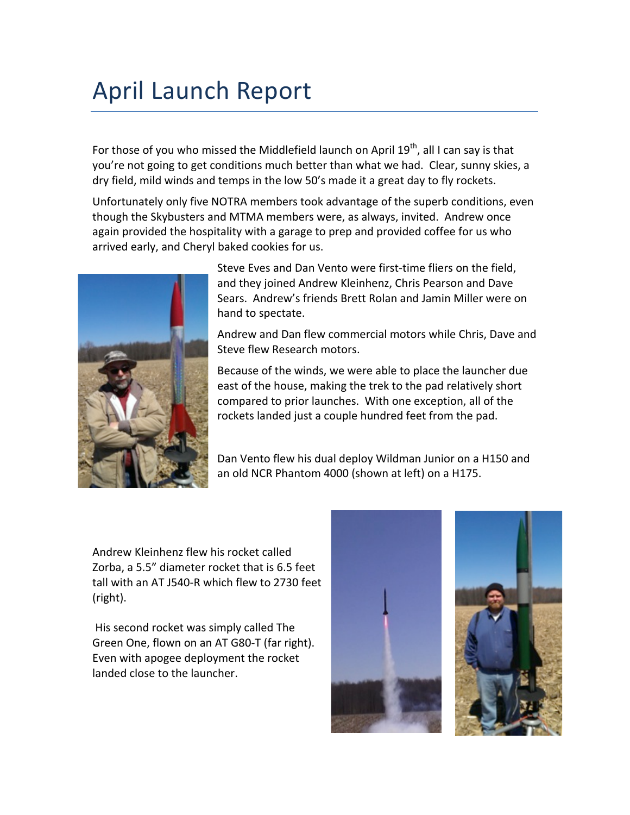## April Launch Report

For those of you who missed the Middlefield launch on April  $19^{th}$ , all I can say is that you're not going to get conditions much better than what we had. Clear, sunny skies, a dry field, mild winds and temps in the low 50's made it a great day to fly rockets.

Unfortunately only five NOTRA members took advantage of the superb conditions, even though the Skybusters and MTMA members were, as always, invited. Andrew once again provided the hospitality with a garage to prep and provided coffee for us who arrived early, and Cheryl baked cookies for us.



Steve Eves and Dan Vento were first-time fliers on the field, and they joined Andrew Kleinhenz, Chris Pearson and Dave Sears. Andrew's friends Brett Rolan and Jamin Miller were on hand to spectate.

Andrew and Dan flew commercial motors while Chris, Dave and Steve flew Research motors.

Because of the winds, we were able to place the launcher due east of the house, making the trek to the pad relatively short compared to prior launches. With one exception, all of the rockets landed just a couple hundred feet from the pad.

Dan Vento flew his dual deploy Wildman Junior on a H150 and an old NCR Phantom 4000 (shown at left) on a H175.

Andrew Kleinhenz flew his rocket called Zorba, a 5.5" diameter rocket that is 6.5 feet tall with an AT J540-R which flew to 2730 feet (right).

His second rocket was simply called The Green One, flown on an AT G80-T (far right). Even with apogee deployment the rocket landed close to the launcher.



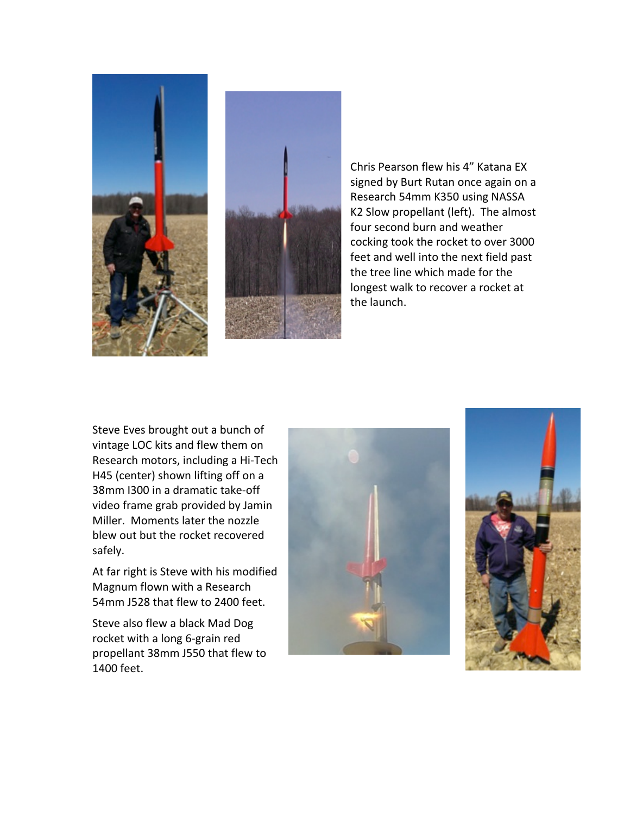



Chris Pearson flew his 4" Katana EX signed by Burt Rutan once again on a Research 54mm K350 using NASSA K2 Slow propellant (left). The almost four second burn and weather cocking took the rocket to over 3000 feet and well into the next field past the tree line which made for the longest walk to recover a rocket at the launch.

Steve Eves brought out a bunch of vintage LOC kits and flew them on Research motors, including a Hi-Tech H45 (center) shown lifting off on a 38mm I300 in a dramatic take-off video frame grab provided by Jamin Miller. Moments later the nozzle blew out but the rocket recovered safely.

At far right is Steve with his modified Magnum flown with a Research 54mm J528 that flew to 2400 feet.

Steve also flew a black Mad Dog rocket with a long 6-grain red propellant 38mm J550 that flew to 1400 feet.